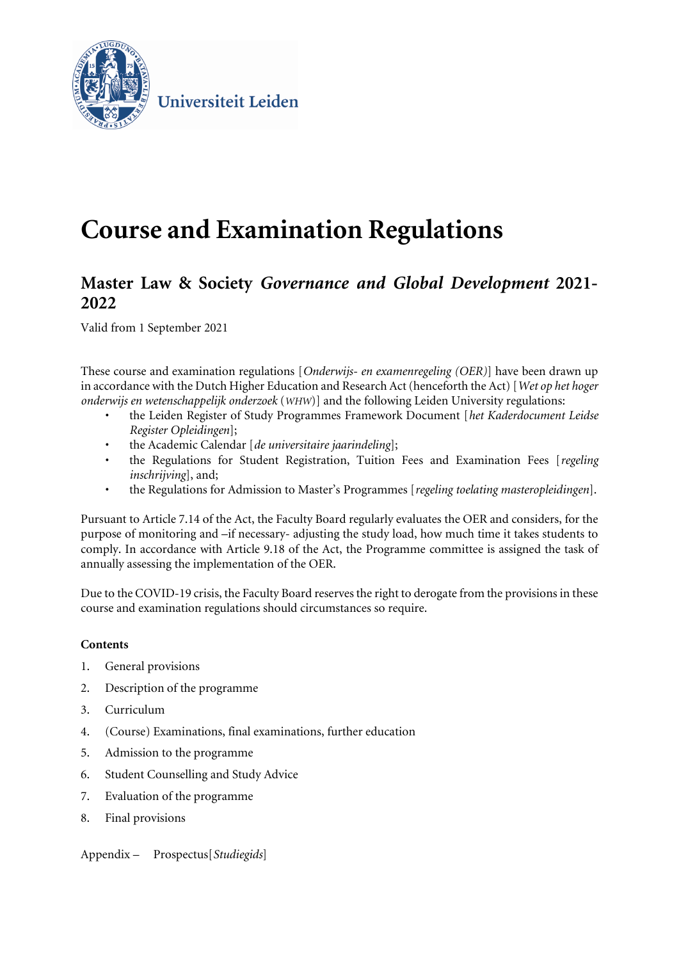

Universiteit Leiden

# **Course and Examination Regulations**

# **Master Law & Society** *Governance and Global Development* **2021- 2022**

Valid from 1 September 2021

These course and examination regulations [*Onderwijs- en examenregeling (OER)*] have been drawn up in accordance with the Dutch Higher Education and Research Act (henceforth the Act) [*Wet op het hoger onderwijs en wetenschappelijk onderzoek* (*WHW*)] and the following Leiden University regulations:

- the Leiden Register of Study Programmes Framework Document [*het Kaderdocument Leidse Register Opleidingen*];
- the Academic Calendar [*de universitaire jaarindeling*];
- the Regulations for Student Registration, Tuition Fees and Examination Fees [*regeling inschrijving*], and;
- the Regulations for Admission to Master's Programmes [*regeling toelating masteropleidingen*].

Pursuant to Article 7.14 of the Act, the Faculty Board regularly evaluates the OER and considers, for the purpose of monitoring and –if necessary- adjusting the study load, how much time it takes students to comply. In accordance with Article 9.18 of the Act, the Programme committee is assigned the task of annually assessing the implementation of the OER.

Due to the COVID-19 crisis, the Faculty Board reserves the right to derogate from the provisions in these course and examination regulations should circumstances so require.

# **Contents**

- 1. General provisions
- 2. Description of the programme
- 3. Curriculum
- 4. (Course) Examinations, final examinations, further education
- 5. Admission to the programme
- 6. Student Counselling and Study Advice
- 7. Evaluation of the programme
- 8. Final provisions

Appendix – Prospectus[*Studiegids*]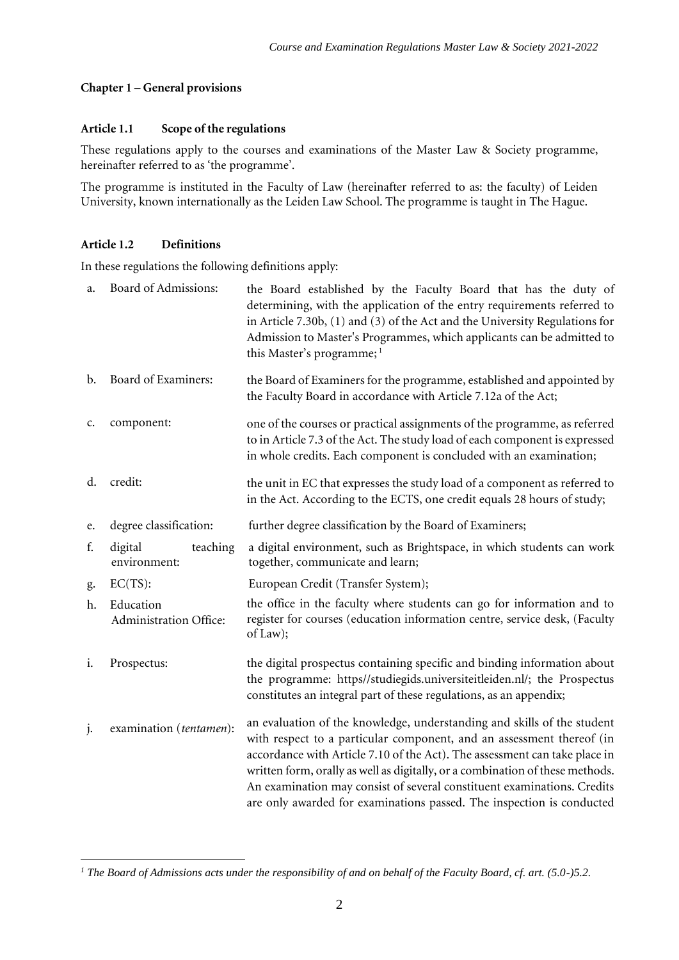#### **Chapter 1** – **General provisions**

#### **Article 1.1 Scope of the regulations**

These regulations apply to the courses and examinations of the Master Law & Society programme, hereinafter referred to as 'the programme'.

The programme is instituted in the Faculty of Law (hereinafter referred to as: the faculty) of Leiden University, known internationally as the Leiden Law School. The programme is taught in The Hague.

# **Article 1.2 Definitions**

In these regulations the following definitions apply:

| a.             | Board of Admissions:                | the Board established by the Faculty Board that has the duty of<br>determining, with the application of the entry requirements referred to<br>in Article 7.30b, (1) and (3) of the Act and the University Regulations for<br>Admission to Master's Programmes, which applicants can be admitted to<br>this Master's programme; <sup>1</sup>                                                                                                                         |
|----------------|-------------------------------------|---------------------------------------------------------------------------------------------------------------------------------------------------------------------------------------------------------------------------------------------------------------------------------------------------------------------------------------------------------------------------------------------------------------------------------------------------------------------|
| $\mathbf{b}$ . | Board of Examiners:                 | the Board of Examiners for the programme, established and appointed by<br>the Faculty Board in accordance with Article 7.12a of the Act;                                                                                                                                                                                                                                                                                                                            |
| c.             | component:                          | one of the courses or practical assignments of the programme, as referred<br>to in Article 7.3 of the Act. The study load of each component is expressed<br>in whole credits. Each component is concluded with an examination;                                                                                                                                                                                                                                      |
| d.             | credit:                             | the unit in EC that expresses the study load of a component as referred to<br>in the Act. According to the ECTS, one credit equals 28 hours of study;                                                                                                                                                                                                                                                                                                               |
| e.             | degree classification:              | further degree classification by the Board of Examiners;                                                                                                                                                                                                                                                                                                                                                                                                            |
| f.             | digital<br>teaching<br>environment: | a digital environment, such as Brightspace, in which students can work<br>together, communicate and learn;                                                                                                                                                                                                                                                                                                                                                          |
| g.             | $EC(TS)$ :                          | European Credit (Transfer System);                                                                                                                                                                                                                                                                                                                                                                                                                                  |
| h.             | Education<br>Administration Office: | the office in the faculty where students can go for information and to<br>register for courses (education information centre, service desk, (Faculty<br>of Law);                                                                                                                                                                                                                                                                                                    |
| i.             | Prospectus:                         | the digital prospectus containing specific and binding information about<br>the programme: https//studiegids.universiteitleiden.nl/; the Prospectus<br>constitutes an integral part of these regulations, as an appendix;                                                                                                                                                                                                                                           |
| $\mathbf{J}$   | examination (tentamen):             | an evaluation of the knowledge, understanding and skills of the student<br>with respect to a particular component, and an assessment thereof (in<br>accordance with Article 7.10 of the Act). The assessment can take place in<br>written form, orally as well as digitally, or a combination of these methods.<br>An examination may consist of several constituent examinations. Credits<br>are only awarded for examinations passed. The inspection is conducted |

*<sup>1</sup> The Board of Admissions acts under the responsibility of and on behalf of the Faculty Board, cf. art. (5.0-)5.2.*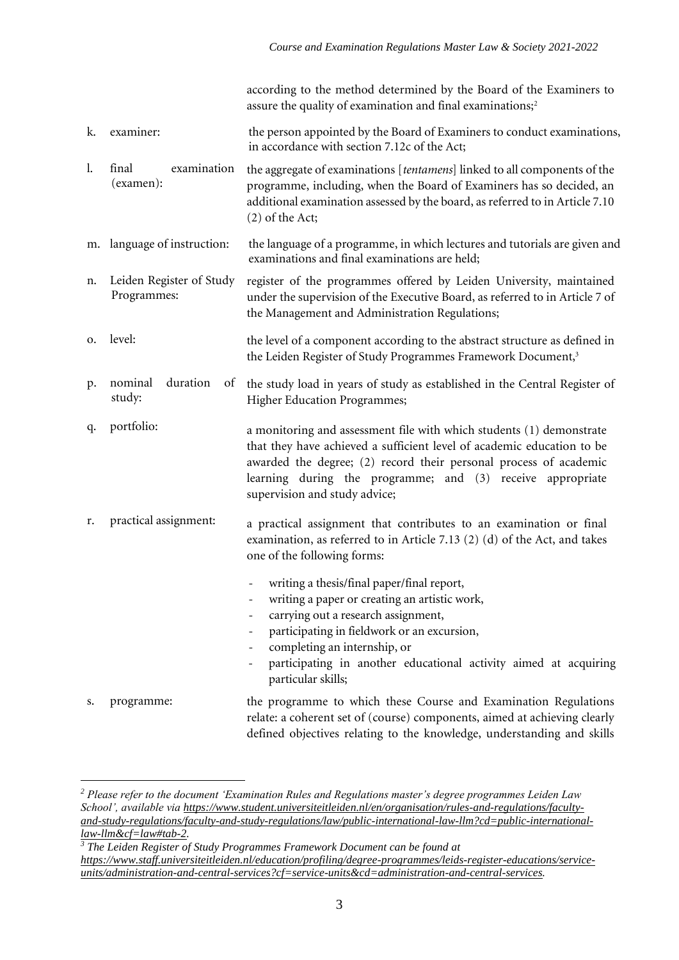according to the method determined by the Board of the Examiners to assure the quality of examination and final examinations;<sup>2</sup>

- k. examiner: the person appointed by the Board of Examiners to conduct examinations, in accordance with section 7.12c of the Act;
- l. final examination (examen): the aggregate of examinations [*tentamens*] linked to all components of the programme, including, when the Board of Examiners has so decided, an additional examination assessed by the board, as referred to in Article 7.10 (2) of the Act;
- m. language of instruction: the language of a programme, in which lectures and tutorials are given and examinations and final examinations are held;
- n. Leiden Register of Study Programmes: register of the programmes offered by Leiden University, maintained under the supervision of the Executive Board, as referred to in Article 7 of the Management and Administration Regulations;
- o. level: the level of a component according to the abstract structure as defined in the Leiden Register of Study Programmes Framework Document,<sup>3</sup>
- p. nominal duration of study: the study load in years of study as established in the Central Register of Higher Education Programmes;
- q. portfolio: a monitoring and assessment file with which students (1) demonstrate that they have achieved a sufficient level of academic education to be awarded the degree; (2) record their personal process of academic learning during the programme; and (3) receive appropriate supervision and study advice;
- r. practical assignment: a practical assignment that contributes to an examination or final examination, as referred to in Article 7.13 (2) (d) of the Act, and takes one of the following forms:
	- writing a thesis/final paper/final report,
	- writing a paper or creating an artistic work,
		- carrying out a research assignment,
	- participating in fieldwork or an excursion,
	- completing an internship, or
	- participating in another educational activity aimed at acquiring particular skills;
- s. programme: the programme to which these Course and Examination Regulations relate: a coherent set of (course) components, aimed at achieving clearly defined objectives relating to the knowledge, understanding and skills

*<sup>3</sup> The Leiden Register of Study Programmes Framework Document can be found at [https://www.staff.universiteitleiden.nl/education/profiling/degree-programmes/leids-register-educations/service](https://www.staff.universiteitleiden.nl/education/profiling/degree-programmes/leids-register-educations/service-units/administration-and-central-services?cf=service-units&cd=administration-and-central-services)[units/administration-and-central-services?cf=service-units&cd=administration-and-central-services.](https://www.staff.universiteitleiden.nl/education/profiling/degree-programmes/leids-register-educations/service-units/administration-and-central-services?cf=service-units&cd=administration-and-central-services)*

*<sup>2</sup> Please refer to the document 'Examination Rules and Regulations master's degree programmes Leiden Law School', available via [https://www.student.universiteitleiden.nl/en/organisation/rules-and-regulations/faculty](https://www.student.universiteitleiden.nl/en/organisation/rules-and-regulations/faculty-and-study-regulations/faculty-and-study-regulations/law/public-international-law-llm?cd=public-international-law-llm&cf=law#tab-2)[and-study-regulations/faculty-and-study-regulations/law/public-international-law-llm?cd=public-international](https://www.student.universiteitleiden.nl/en/organisation/rules-and-regulations/faculty-and-study-regulations/faculty-and-study-regulations/law/public-international-law-llm?cd=public-international-law-llm&cf=law#tab-2)[law-llm&cf=law#tab-2.](https://www.student.universiteitleiden.nl/en/organisation/rules-and-regulations/faculty-and-study-regulations/faculty-and-study-regulations/law/public-international-law-llm?cd=public-international-law-llm&cf=law#tab-2)*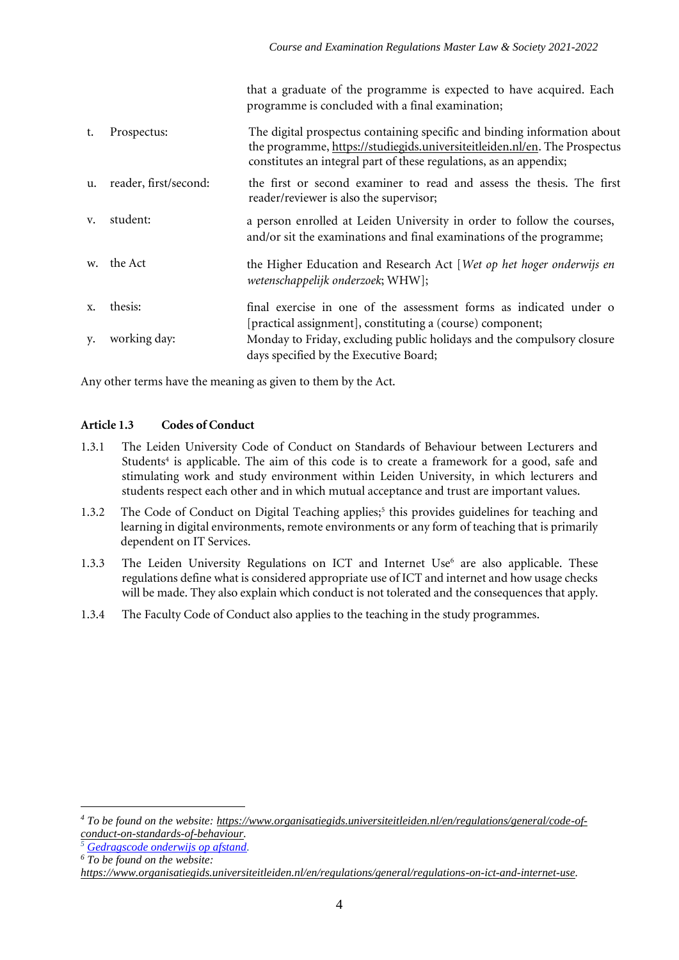|    |                       | that a graduate of the programme is expected to have acquired. Each<br>programme is concluded with a final examination;                                                                                                      |
|----|-----------------------|------------------------------------------------------------------------------------------------------------------------------------------------------------------------------------------------------------------------------|
| t. | Prospectus:           | The digital prospectus containing specific and binding information about<br>the programme, https://studiegids.universiteitleiden.nl/en. The Prospectus<br>constitutes an integral part of these regulations, as an appendix; |
| u. | reader, first/second: | the first or second examiner to read and assess the thesis. The first<br>reader/reviewer is also the supervisor;                                                                                                             |
| v. | student:              | a person enrolled at Leiden University in order to follow the courses,<br>and/or sit the examinations and final examinations of the programme;                                                                               |
|    | w. the Act            | the Higher Education and Research Act [Wet op het hoger onderwijs en<br>wetenschappelijk onderzoek; WHW];                                                                                                                    |
| X. | thesis:               | final exercise in one of the assessment forms as indicated under o<br>[practical assignment], constituting a (course) component;                                                                                             |
| y. | working day:          | Monday to Friday, excluding public holidays and the compulsory closure<br>days specified by the Executive Board;                                                                                                             |
|    |                       |                                                                                                                                                                                                                              |

Any other terms have the meaning as given to them by the Act.

# **Article 1.3 Codes of Conduct**

- 1.3.1 The Leiden University Code of Conduct on Standards of Behaviour between Lecturers and Students<sup>4</sup> is applicable. The aim of this code is to create a framework for a good, safe and stimulating work and study environment within Leiden University, in which lecturers and students respect each other and in which mutual acceptance and trust are important values.
- 1.3.2 The Code of Conduct on Digital Teaching applies;<sup>5</sup> this provides guidelines for teaching and learning in digital environments, remote environments or any form of teaching that is primarily dependent on IT Services.
- 1.3.3 The Leiden University Regulations on ICT and Internet Use<sup>6</sup> are also applicable. These regulations define what is considered appropriate use of ICT and internet and how usage checks will be made. They also explain which conduct is not tolerated and the consequences that apply.
- 1.3.4 The Faculty Code of Conduct also applies to the teaching in the study programmes.

*<sup>4</sup> To be found on the website: [https://www.organisatiegids.universiteitleiden.nl/en/regulations/general/code-of](https://www.organisatiegids.universiteitleiden.nl/en/regulations/general/code-of-conduct-on-standards-of-behaviour)[conduct-on-standards-of-behaviour.](https://www.organisatiegids.universiteitleiden.nl/en/regulations/general/code-of-conduct-on-standards-of-behaviour)*

*<sup>5</sup> [Gedragscode onderwijs op afstand.](https://www.organisatiegids.universiteitleiden.nl/reglementen/algemeen/gedragscode-remote-teaching)*

*<sup>6</sup> To be found on the website:* 

*[https://www.organisatiegids.universiteitleiden.nl/en/regulations/general/regulations-on-ict-and-internet-use.](https://www.organisatiegids.universiteitleiden.nl/en/regulations/general/regulations-on-ict-and-internet-use)*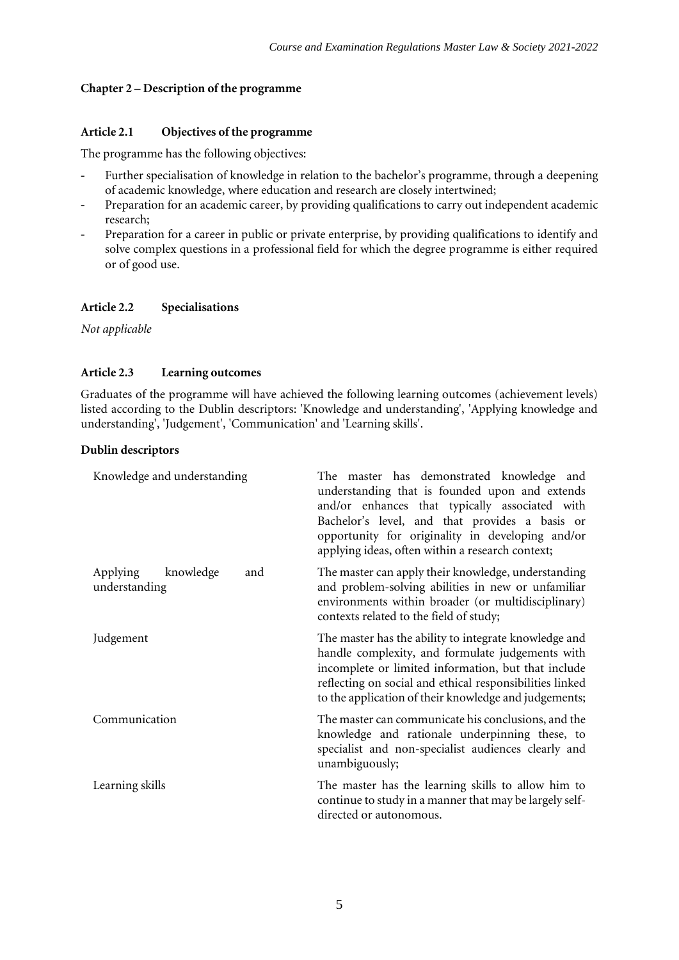# **Chapter 2 – Description of the programme**

#### **Article 2.1 Objectives of the programme**

The programme has the following objectives:

- Further specialisation of knowledge in relation to the bachelor's programme, through a deepening of academic knowledge, where education and research are closely intertwined;
- Preparation for an academic career, by providing qualifications to carry out independent academic research;
- Preparation for a career in public or private enterprise, by providing qualifications to identify and solve complex questions in a professional field for which the degree programme is either required or of good use.

# **Article 2.2 Specialisations**

*Not applicable*

# **Article 2.3 Learning outcomes**

Graduates of the programme will have achieved the following learning outcomes (achievement levels) listed according to the Dublin descriptors: 'Knowledge and understanding', 'Applying knowledge and understanding', 'Judgement', 'Communication' and 'Learning skills'.

# **Dublin descriptors**

| Knowledge and understanding                   | The master has demonstrated knowledge and<br>understanding that is founded upon and extends<br>and/or enhances that typically associated with<br>Bachelor's level, and that provides a basis or<br>opportunity for originality in developing and/or<br>applying ideas, often within a research context; |
|-----------------------------------------------|---------------------------------------------------------------------------------------------------------------------------------------------------------------------------------------------------------------------------------------------------------------------------------------------------------|
| Applying<br>knowledge<br>and<br>understanding | The master can apply their knowledge, understanding<br>and problem-solving abilities in new or unfamiliar<br>environments within broader (or multidisciplinary)<br>contexts related to the field of study;                                                                                              |
| Judgement                                     | The master has the ability to integrate knowledge and<br>handle complexity, and formulate judgements with<br>incomplete or limited information, but that include<br>reflecting on social and ethical responsibilities linked<br>to the application of their knowledge and judgements;                   |
| Communication                                 | The master can communicate his conclusions, and the<br>knowledge and rationale underpinning these, to<br>specialist and non-specialist audiences clearly and<br>unambiguously;                                                                                                                          |
| Learning skills                               | The master has the learning skills to allow him to<br>continue to study in a manner that may be largely self-<br>directed or autonomous.                                                                                                                                                                |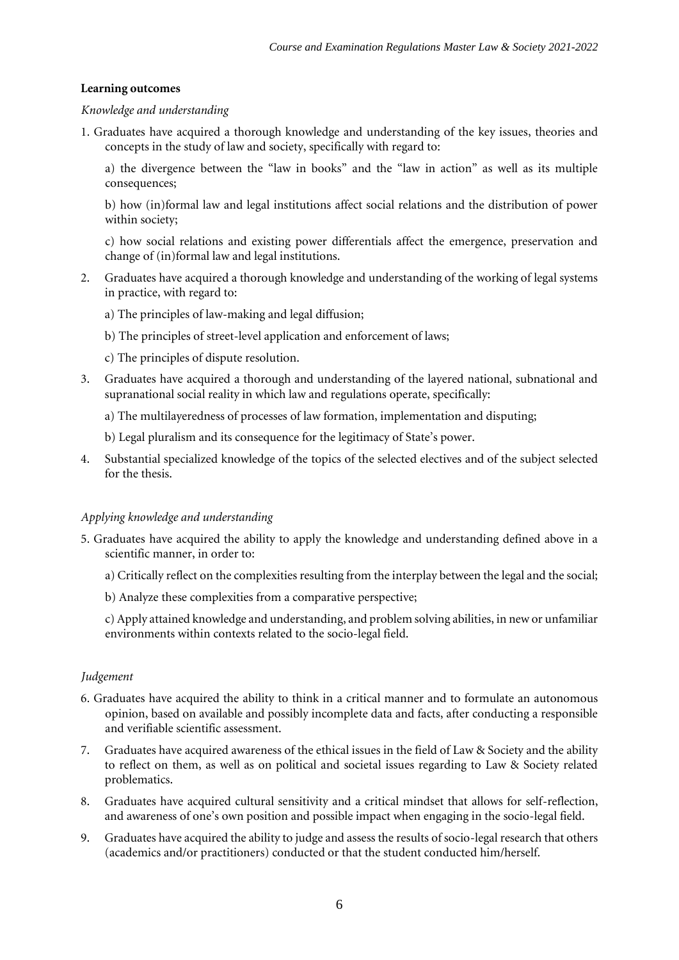#### **Learning outcomes**

#### *Knowledge and understanding*

1*.* Graduates have acquired a thorough knowledge and understanding of the key issues, theories and concepts in the study of law and society, specifically with regard to:

a) the divergence between the "law in books" and the "law in action" as well as its multiple consequences;

b) how (in)formal law and legal institutions affect social relations and the distribution of power within society;

c) how social relations and existing power differentials affect the emergence, preservation and change of (in)formal law and legal institutions.

- 2. Graduates have acquired a thorough knowledge and understanding of the working of legal systems in practice, with regard to:
	- a) The principles of law-making and legal diffusion;
	- b) The principles of street-level application and enforcement of laws;
	- c) The principles of dispute resolution.
- 3. Graduates have acquired a thorough and understanding of the layered national, subnational and supranational social reality in which law and regulations operate, specifically:
	- a) The multilayeredness of processes of law formation, implementation and disputing;
	- b) Legal pluralism and its consequence for the legitimacy of State's power.
- 4. Substantial specialized knowledge of the topics of the selected electives and of the subject selected for the thesis.

#### *Applying knowledge and understanding*

- 5*.* Graduates have acquired the ability to apply the knowledge and understanding defined above in a scientific manner, in order to:
	- a) Critically reflect on the complexities resulting from the interplay between the legal and the social;
	- b) Analyze these complexities from a comparative perspective;

c) Apply attained knowledge and understanding, and problem solving abilities, in new or unfamiliar environments within contexts related to the socio-legal field.

# *Judgement*

- 6*.* Graduates have acquired the ability to think in a critical manner and to formulate an autonomous opinion, based on available and possibly incomplete data and facts, after conducting a responsible and verifiable scientific assessment.
- 7. Graduates have acquired awareness of the ethical issues in the field of Law & Society and the ability to reflect on them, as well as on political and societal issues regarding to Law & Society related problematics.
- 8. Graduates have acquired cultural sensitivity and a critical mindset that allows for self-reflection, and awareness of one's own position and possible impact when engaging in the socio-legal field.
- 9. Graduates have acquired the ability to judge and assess the results of socio-legal research that others (academics and/or practitioners) conducted or that the student conducted him/herself.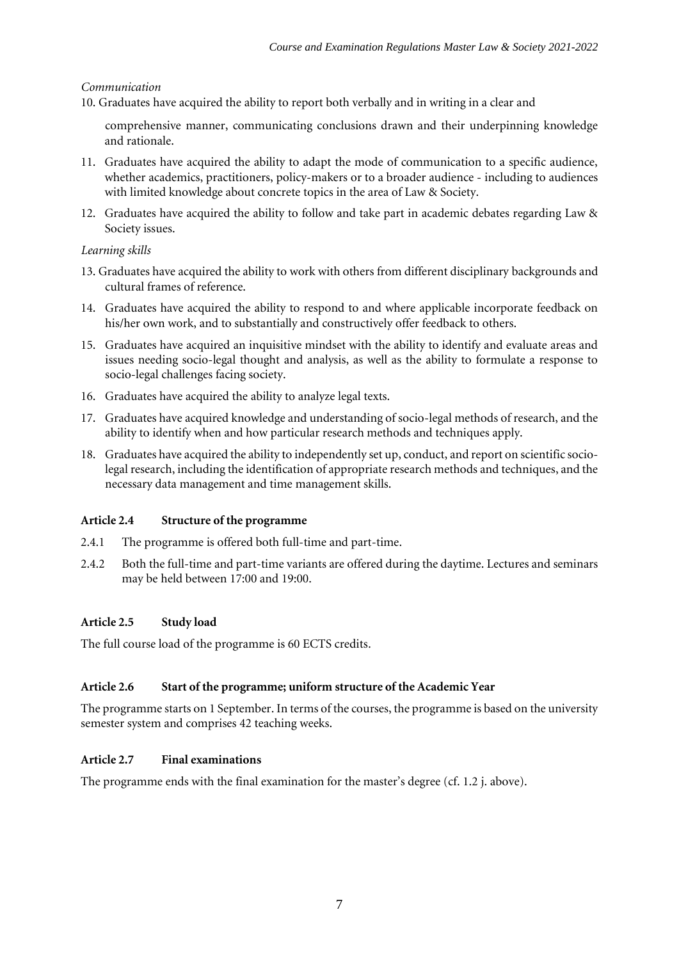# *Communication*

10. Graduates have acquired the ability to report both verbally and in writing in a clear and

comprehensive manner, communicating conclusions drawn and their underpinning knowledge and rationale.

- 11. Graduates have acquired the ability to adapt the mode of communication to a specific audience, whether academics, practitioners, policy-makers or to a broader audience - including to audiences with limited knowledge about concrete topics in the area of Law & Society.
- 12. Graduates have acquired the ability to follow and take part in academic debates regarding Law & Society issues.

# *Learning skills*

- 13. Graduates have acquired the ability to work with others from different disciplinary backgrounds and cultural frames of reference.
- 14. Graduates have acquired the ability to respond to and where applicable incorporate feedback on his/her own work, and to substantially and constructively offer feedback to others.
- 15. Graduates have acquired an inquisitive mindset with the ability to identify and evaluate areas and issues needing socio-legal thought and analysis, as well as the ability to formulate a response to socio-legal challenges facing society.
- 16. Graduates have acquired the ability to analyze legal texts.
- 17. Graduates have acquired knowledge and understanding of socio-legal methods of research, and the ability to identify when and how particular research methods and techniques apply.
- 18. Graduates have acquired the ability to independently set up, conduct, and report on scientific sociolegal research, including the identification of appropriate research methods and techniques, and the necessary data management and time management skills.

# **Article 2.4 Structure of the programme**

- 2.4.1 The programme is offered both full-time and part-time.
- 2.4.2 Both the full-time and part-time variants are offered during the daytime. Lectures and seminars may be held between 17:00 and 19:00.

# **Article 2.5 Study load**

The full course load of the programme is 60 ECTS credits*.*

# **Article 2.6 Start of the programme; uniform structure of the Academic Year**

The programme starts on 1 September. In terms of the courses, the programme is based on the university semester system and comprises 42 teaching weeks.

#### **Article 2.7 Final examinations**

The programme ends with the final examination for the master's degree (cf. 1.2 j. above).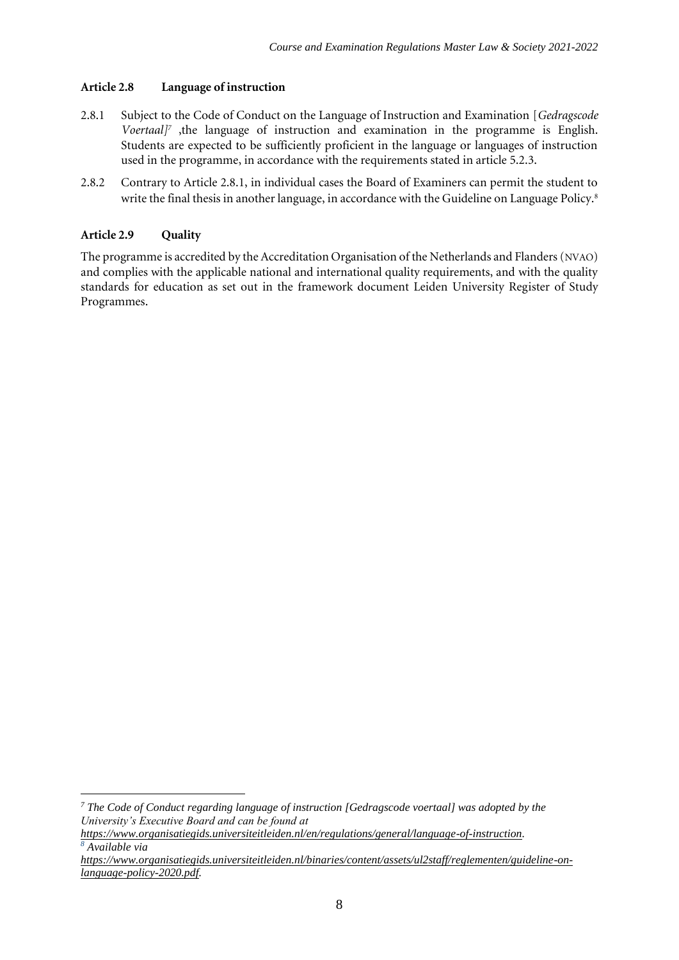#### **Article 2.8 Language of instruction**

- 2.8.1 Subject to the Code of Conduct on the Language of Instruction and Examination [*Gedragscode Voertaal]<sup>7</sup>* ,the language of instruction and examination in the programme is English. Students are expected to be sufficiently proficient in the language or languages of instruction used in the programme, in accordance with the requirements stated in article 5.2.3.
- 2.8.2 Contrary to Article 2.8.1, in individual cases the Board of Examiners can permit the student to write the final thesis in another language, in accordance with the Guideline on Language Policy.<sup>8</sup>

# **Article 2.9 Quality**

The programme is accredited by the Accreditation Organisation of the Netherlands and Flanders (NVAO) and complies with the applicable national and international quality requirements, and with the quality standards for education as set out in the framework document Leiden University Register of Study Programmes.

*<sup>7</sup> The Code of Conduct regarding language of instruction [Gedragscode voertaal] was adopted by the University's Executive Board and can be found at* 

*[https://www.organisatiegids.universiteitleiden.nl/en/regulations/general/language-of-instruction.](https://www.organisatiegids.universiteitleiden.nl/en/regulations/general/language-of-instruction) <sup>8</sup> Available via* 

*[https://www.organisatiegids.universiteitleiden.nl/binaries/content/assets/ul2staff/reglementen/guideline-on](https://www.organisatiegids.universiteitleiden.nl/binaries/content/assets/ul2staff/reglementen/guideline-on-language-policy-2020.pdf)[language-policy-2020.pdf.](https://www.organisatiegids.universiteitleiden.nl/binaries/content/assets/ul2staff/reglementen/guideline-on-language-policy-2020.pdf)*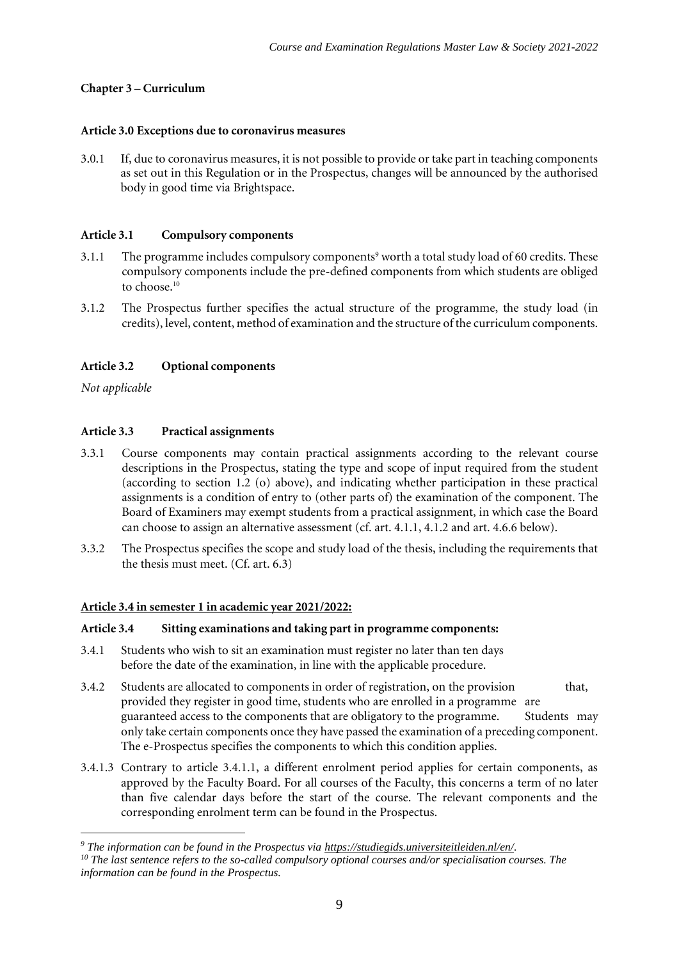# **Chapter 3 – Curriculum**

#### **Article 3.0 Exceptions due to coronavirus measures**

3.0.1 If, due to coronavirus measures, it is not possible to provide or take part in teaching components as set out in this Regulation or in the Prospectus, changes will be announced by the authorised body in good time via Brightspace.

#### **Article 3.1 Compulsory components**

- 3.1.1 The programme includes compulsory components<sup>9</sup> worth a total study load of 60 credits. These compulsory components include the pre-defined components from which students are obliged to choose.<sup>10</sup>
- 3.1.2 The Prospectus further specifies the actual structure of the programme, the study load (in credits), level, content, method of examination and the structure of the curriculum components.

# **Article 3.2 Optional components**

*Not applicable*

# **Article 3.3 Practical assignments**

- 3.3.1 Course components may contain practical assignments according to the relevant course descriptions in the Prospectus, stating the type and scope of input required from the student (according to section 1.2 (o) above), and indicating whether participation in these practical assignments is a condition of entry to (other parts of) the examination of the component. The Board of Examiners may exempt students from a practical assignment, in which case the Board can choose to assign an alternative assessment (cf. art. 4.1.1, 4.1.2 and art. 4.6.6 below).
- 3.3.2 The Prospectus specifies the scope and study load of the thesis, including the requirements that the thesis must meet. (Cf. art. 6.3)

#### **Article 3.4 in semester 1 in academic year 2021/2022:**

#### **Article 3.4 Sitting examinations and taking part in programme components:**

- 3.4.1 Students who wish to sit an examination must register no later than ten days before the date of the examination, in line with the applicable procedure.
- 3.4.2 Students are allocated to components in order of registration, on the provision that, provided they register in good time, students who are enrolled in a programme are guaranteed access to the components that are obligatory to the programme. Students may only take certain components once they have passed the examination of a preceding component. The e-Prospectus specifies the components to which this condition applies.
- 3.4.1.3 Contrary to article 3.4.1.1, a different enrolment period applies for certain components, as approved by the Faculty Board. For all courses of the Faculty, this concerns a term of no later than five calendar days before the start of the course. The relevant components and the corresponding enrolment term can be found in the Prospectus.

*<sup>9</sup> The information can be found in the Prospectus via [https://studiegids.universiteitleiden.nl/en/.](https://studiegids.universiteitleiden.nl/en/)*  <sup>10</sup> The last sentence refers to the so-called compulsory optional courses and/or specialisation courses. The *information can be found in the Prospectus.*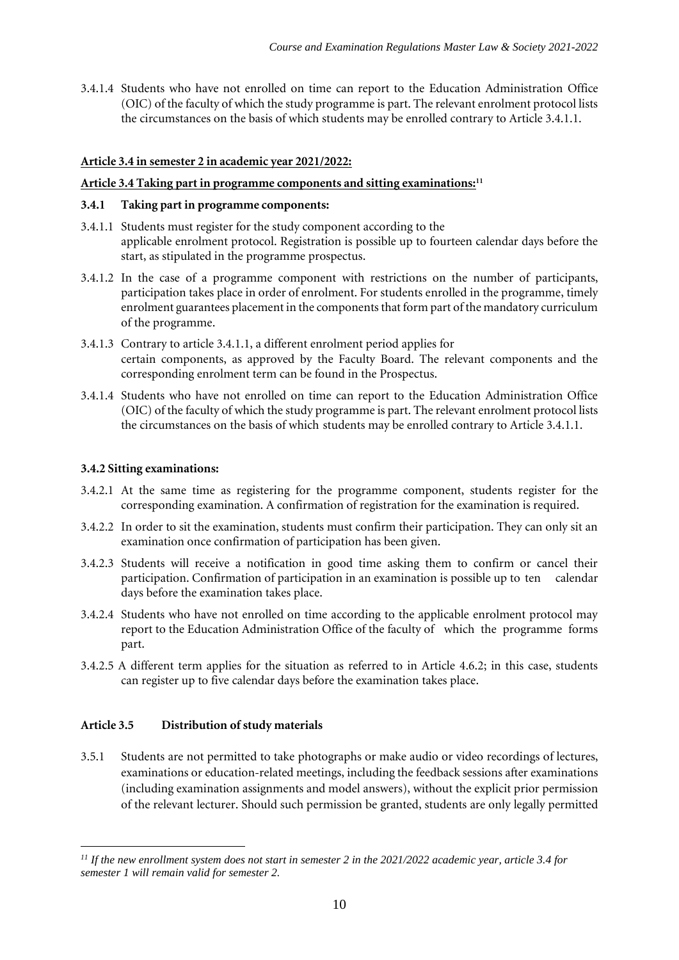3.4.1.4 Students who have not enrolled on time can report to the Education Administration Office (OIC) of the faculty of which the study programme is part. The relevant enrolment protocol lists the circumstances on the basis of which students may be enrolled contrary to Article 3.4.1.1.

#### **Article 3.4 in semester 2 in academic year 2021/2022:**

#### **Article 3.4 Taking part in programme components and sitting examinations:<sup>11</sup>**

#### **3.4.1 Taking part in programme components:**

- 3.4.1.1 Students must register for the study component according to the applicable enrolment protocol. Registration is possible up to fourteen calendar days before the start, as stipulated in the programme prospectus.
- 3.4.1.2 In the case of a programme component with restrictions on the number of participants, participation takes place in order of enrolment. For students enrolled in the programme, timely enrolment guarantees placement in the components that form part of the mandatory curriculum of the programme.
- 3.4.1.3 Contrary to article 3.4.1.1, a different enrolment period applies for certain components, as approved by the Faculty Board. The relevant components and the corresponding enrolment term can be found in the Prospectus.
- 3.4.1.4 Students who have not enrolled on time can report to the Education Administration Office (OIC) of the faculty of which the study programme is part. The relevant enrolment protocol lists the circumstances on the basis of which students may be enrolled contrary to Article 3.4.1.1.

#### **3.4.2 Sitting examinations:**

- 3.4.2.1 At the same time as registering for the programme component, students register for the corresponding examination. A confirmation of registration for the examination is required.
- 3.4.2.2 In order to sit the examination, students must confirm their participation. They can only sit an examination once confirmation of participation has been given.
- 3.4.2.3 Students will receive a notification in good time asking them to confirm or cancel their participation. Confirmation of participation in an examination is possible up to ten calendar days before the examination takes place.
- 3.4.2.4 Students who have not enrolled on time according to the applicable enrolment protocol may report to the Education Administration Office of the faculty of which the programme forms part.
- 3.4.2.5 A different term applies for the situation as referred to in Article 4.6.2; in this case, students can register up to five calendar days before the examination takes place.

#### **Article 3.5 Distribution ofstudy materials**

3.5.1 Students are not permitted to take photographs or make audio or video recordings of lectures, examinations or education-related meetings, including the feedback sessions after examinations (including examination assignments and model answers), without the explicit prior permission of the relevant lecturer. Should such permission be granted, students are only legally permitted

*<sup>11</sup> If the new enrollment system does not start in semester 2 in the 2021/2022 academic year, article 3.4 for semester 1 will remain valid for semester 2.*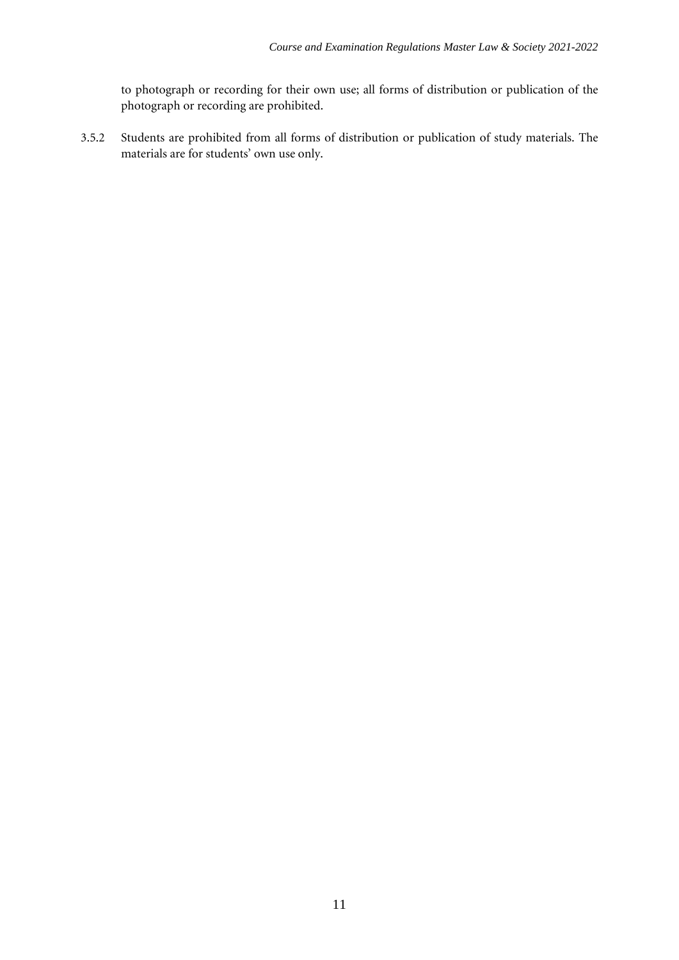to photograph or recording for their own use; all forms of distribution or publication of the photograph or recording are prohibited.

3.5.2 Students are prohibited from all forms of distribution or publication of study materials. The materials are for students' own use only.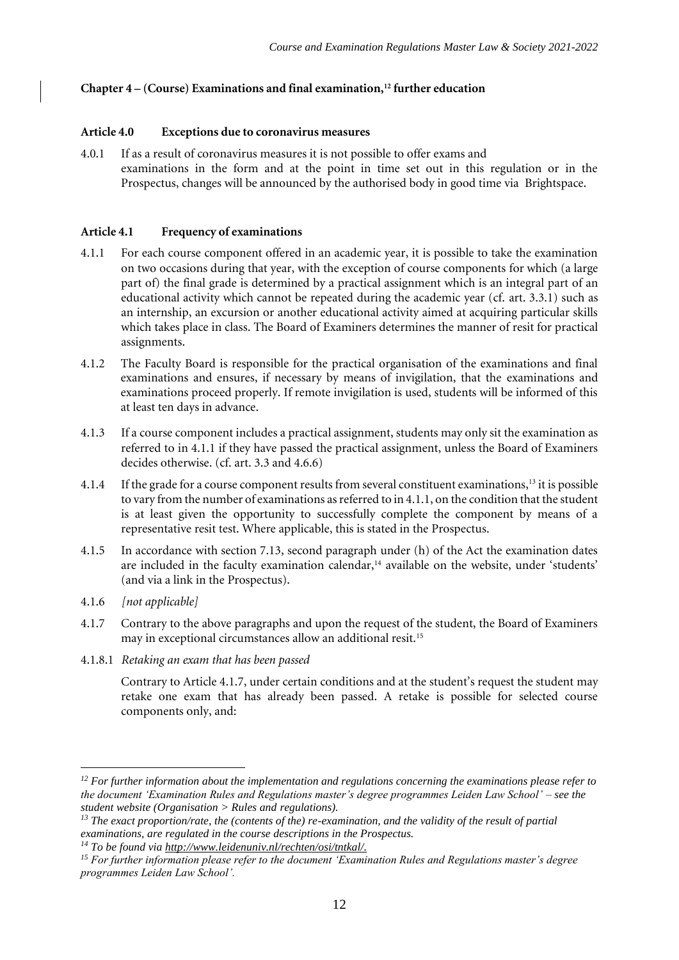# **Chapter 4 – (Course) Examinations and final examination,<sup>12</sup> further education**

#### **Article 4.0 Exceptions due to coronavirus measures**

4.0.1 If as a result of coronavirus measures it is not possible to offer exams and examinations in the form and at the point in time set out in this regulation or in the Prospectus, changes will be announced by the authorised body in good time via Brightspace.

#### **Article 4.1 Frequency of examinations**

- 4.1.1 For each course component offered in an academic year, it is possible to take the examination on two occasions during that year, with the exception of course components for which (a large part of) the final grade is determined by a practical assignment which is an integral part of an educational activity which cannot be repeated during the academic year (cf. art. 3.3.1) such as an internship, an excursion or another educational activity aimed at acquiring particular skills which takes place in class. The Board of Examiners determines the manner of resit for practical assignments.
- 4.1.2 The Faculty Board is responsible for the practical organisation of the examinations and final examinations and ensures, if necessary by means of invigilation, that the examinations and examinations proceed properly. If remote invigilation is used, students will be informed of this at least ten days in advance.
- 4.1.3 If a course component includes a practical assignment, students may only sit the examination as referred to in 4.1.1 if they have passed the practical assignment, unless the Board of Examiners decides otherwise. (cf. art. 3.3 and 4.6.6)
- 4.1.4 If the grade for a course component results from several constituent examinations,<sup>13</sup> it is possible to vary from the number of examinations as referred to in 4.1.1, on the condition that the student is at least given the opportunity to successfully complete the component by means of a representative resit test. Where applicable, this is stated in the Prospectus.
- 4.1.5 In accordance with section 7.13, second paragraph under (h) of the Act the examination dates are included in the faculty examination calendar,<sup>14</sup> available on the website, under 'students' (and via a link in the Prospectus).
- 4.1.6 *[not applicable]*
- 4.1.7 Contrary to the above paragraphs and upon the request of the student, the Board of Examiners may in exceptional circumstances allow an additional resit.<sup>15</sup>
- 4.1.8.1 *Retaking an exam that has been passed*

Contrary to Article 4.1.7, under certain conditions and at the student's request the student may retake one exam that has already been passed. A retake is possible for selected course components only, and:

*<sup>12</sup> For further information about the implementation and regulations concerning the examinations please refer to the document 'Examination Rules and Regulations master's degree programmes Leiden Law School' – see the student website (Organisation > Rules and regulations).*

*<sup>13</sup> The exact proportion/rate, the (contents of the) re-examination, and the validity of the result of partial examinations, are regulated in the course descriptions in the Prospectus.*

*<sup>14</sup> To be found via [http://www.leidenuniv.nl/rechten/osi/tntkal/.](http://www.leidenuniv.nl/rechten/osi/tntkal/)*

*<sup>15</sup> For further information please refer to the document 'Examination Rules and Regulations master's degree programmes Leiden Law School'.*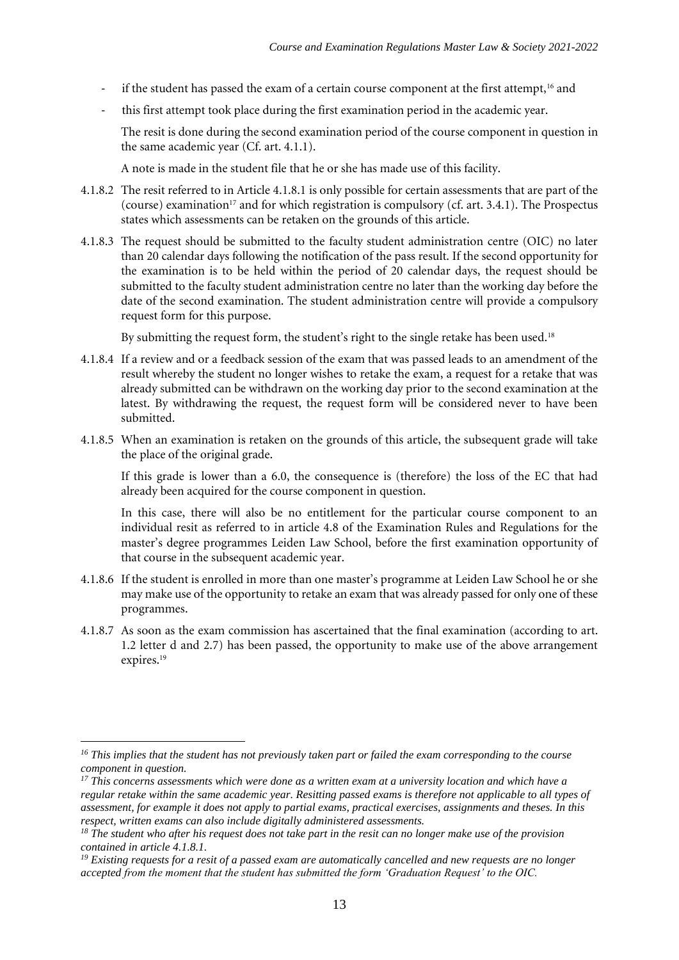- if the student has passed the exam of a certain course component at the first attempt,<sup>16</sup> and
- this first attempt took place during the first examination period in the academic year.

The resit is done during the second examination period of the course component in question in the same academic year (Cf. art. 4.1.1).

A note is made in the student file that he or she has made use of this facility.

- 4.1.8.2 The resit referred to in Article 4.1.8.1 is only possible for certain assessments that are part of the (course) examination<sup>17</sup> and for which registration is compulsory (cf. art. 3.4.1). The Prospectus states which assessments can be retaken on the grounds of this article.
- 4.1.8.3 The request should be submitted to the faculty student administration centre (OIC) no later than 20 calendar days following the notification of the pass result. If the second opportunity for the examination is to be held within the period of 20 calendar days, the request should be submitted to the faculty student administration centre no later than the working day before the date of the second examination. The student administration centre will provide a compulsory request form for this purpose.

By submitting the request form, the student's right to the single retake has been used.<sup>18</sup>

- 4.1.8.4 If a review and or a feedback session of the exam that was passed leads to an amendment of the result whereby the student no longer wishes to retake the exam, a request for a retake that was already submitted can be withdrawn on the working day prior to the second examination at the latest. By withdrawing the request, the request form will be considered never to have been submitted.
- 4.1.8.5 When an examination is retaken on the grounds of this article, the subsequent grade will take the place of the original grade.

If this grade is lower than a 6.0, the consequence is (therefore) the loss of the EC that had already been acquired for the course component in question.

In this case, there will also be no entitlement for the particular course component to an individual resit as referred to in article 4.8 of the Examination Rules and Regulations for the master's degree programmes Leiden Law School, before the first examination opportunity of that course in the subsequent academic year.

- 4.1.8.6 If the student is enrolled in more than one master's programme at Leiden Law School he or she may make use of the opportunity to retake an exam that was already passed for only one of these programmes.
- 4.1.8.7 As soon as the exam commission has ascertained that the final examination (according to art. 1.2 letter d and 2.7) has been passed, the opportunity to make use of the above arrangement expires.<sup>19</sup>

*<sup>19</sup> Existing requests for a resit of a passed exam are automatically cancelled and new requests are no longer accepted from the moment that the student has submitted the form 'Graduation Request' to the OIC.*

*<sup>16</sup> This implies that the student has not previously taken part or failed the exam corresponding to the course component in question.*

*<sup>17</sup> This concerns assessments which were done as a written exam at a university location and which have a regular retake within the same academic year. Resitting passed exams is therefore not applicable to all types of assessment, for example it does not apply to partial exams, practical exercises, assignments and theses. In this respect, written exams can also include digitally administered assessments.*

*<sup>18</sup> The student who after his request does not take part in the resit can no longer make use of the provision contained in article 4.1.8.1.*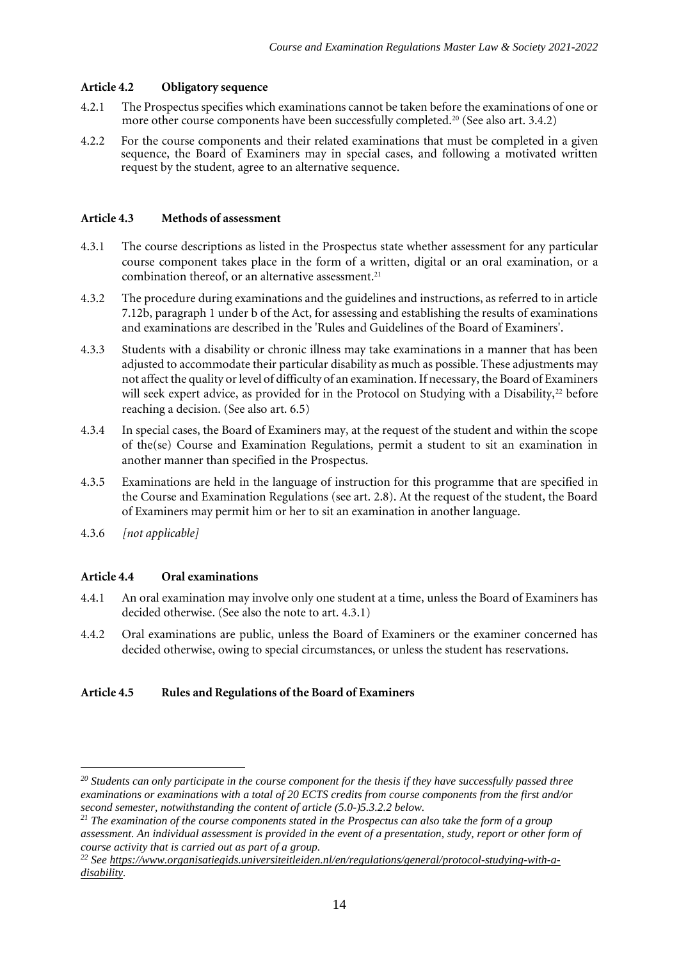# **Article 4.2 Obligatory sequence**

- 4.2.1 The Prospectus specifies which examinations cannot be taken before the examinations of one or more other course components have been successfully completed.<sup>20</sup> (See also art. 3.4.2)
- 4.2.2 For the course components and their related examinations that must be completed in a given sequence, the Board of Examiners may in special cases, and following a motivated written request by the student, agree to an alternative sequence.

#### **Article 4.3 Methods of assessment**

- 4.3.1 The course descriptions as listed in the Prospectus state whether assessment for any particular course component takes place in the form of a written, digital or an oral examination, or a combination thereof, or an alternative assessment.<sup>21</sup>
- 4.3.2 The procedure during examinations and the guidelines and instructions, as referred to in article 7.12b, paragraph 1 under b of the Act, for assessing and establishing the results of examinations and examinations are described in the 'Rules and Guidelines of the Board of Examiners'.
- 4.3.3 Students with a disability or chronic illness may take examinations in a manner that has been adjusted to accommodate their particular disability as much as possible. These adjustments may not affect the quality or level of difficulty of an examination. If necessary, the Board of Examiners will seek expert advice, as provided for in the Protocol on Studying with a Disability, $2^2$  before reaching a decision. (See also art. 6.5)
- 4.3.4 In special cases, the Board of Examiners may, at the request of the student and within the scope of the(se) Course and Examination Regulations, permit a student to sit an examination in another manner than specified in the Prospectus.
- 4.3.5 Examinations are held in the language of instruction for this programme that are specified in the Course and Examination Regulations (see art. 2.8). At the request of the student, the Board of Examiners may permit him or her to sit an examination in another language.
- 4.3.6 *[not applicable]*

#### **Article 4.4 Oral examinations**

- 4.4.1 An oral examination may involve only one student at a time, unless the Board of Examiners has decided otherwise. (See also the note to art. 4.3.1)
- 4.4.2 Oral examinations are public, unless the Board of Examiners or the examiner concerned has decided otherwise, owing to special circumstances, or unless the student has reservations.

#### **Article 4.5 Rules and Regulations of the Board of Examiners**

*<sup>20</sup> Students can only participate in the course component for the thesis if they have successfully passed three examinations or examinations with a total of 20 ECTS credits from course components from the first and/or second semester, notwithstanding the content of article (5.0-)5.3.2.2 below.* 

*<sup>21</sup> The examination of the course components stated in the Prospectus can also take the form of a group assessment. An individual assessment is provided in the event of a presentation, study, report or other form of course activity that is carried out as part of a group.* 

*<sup>22</sup> See [https://www.organisatiegids.universiteitleiden.nl/en/regulations/general/protocol-studying-with-a](https://www.organisatiegids.universiteitleiden.nl/en/regulations/general/protocol-studying-with-a-disability)[disability.](https://www.organisatiegids.universiteitleiden.nl/en/regulations/general/protocol-studying-with-a-disability)*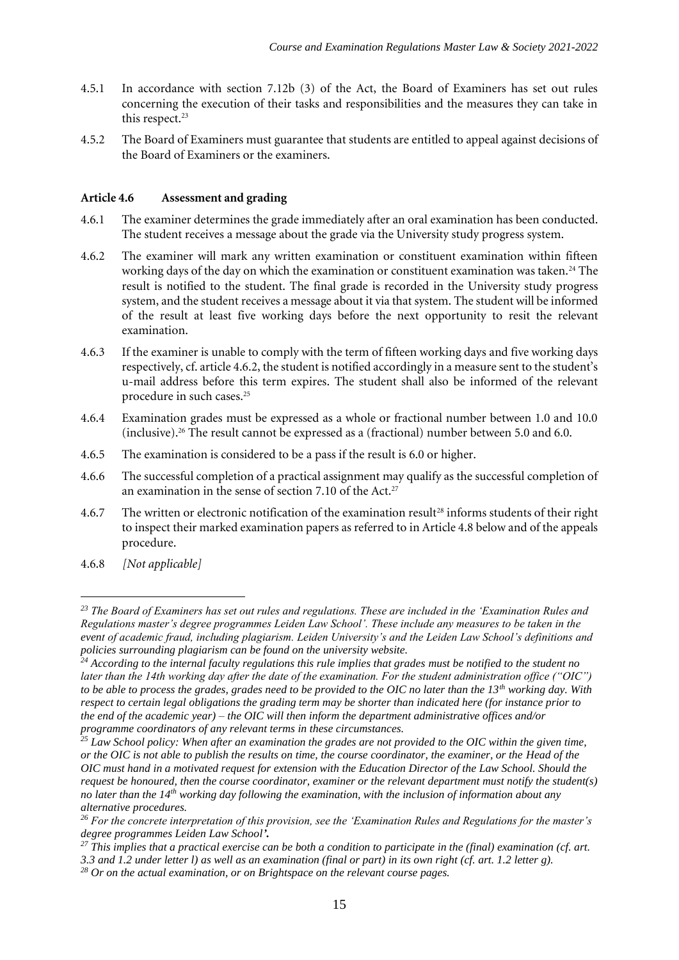- 4.5.1 In accordance with section 7.12b (3) of the Act, the Board of Examiners has set out rules concerning the execution of their tasks and responsibilities and the measures they can take in this respect.<sup>23</sup>
- 4.5.2 The Board of Examiners must guarantee that students are entitled to appeal against decisions of the Board of Examiners or the examiners.

#### **Article 4.6 Assessment and grading**

- 4.6.1 The examiner determines the grade immediately after an oral examination has been conducted. The student receives a message about the grade via the University study progress system.
- 4.6.2 The examiner will mark any written examination or constituent examination within fifteen working days of the day on which the examination or constituent examination was taken.<sup>24</sup> The result is notified to the student. The final grade is recorded in the University study progress system, and the student receives a message about it via that system. The student will be informed of the result at least five working days before the next opportunity to resit the relevant examination.
- 4.6.3 If the examiner is unable to comply with the term of fifteen working days and five working days respectively, cf. article 4.6.2, the student is notified accordingly in a measure sent to the student's u-mail address before this term expires. The student shall also be informed of the relevant procedure in such cases.<sup>25</sup>
- 4.6.4 Examination grades must be expressed as a whole or fractional number between 1.0 and 10.0 (inclusive).<sup>26</sup> The result cannot be expressed as a (fractional) number between 5.0 and 6.0.
- 4.6.5 The examination is considered to be a pass if the result is 6.0 or higher.
- 4.6.6 The successful completion of a practical assignment may qualify as the successful completion of an examination in the sense of section 7.10 of the Act.<sup>27</sup>
- 4.6.7 The written or electronic notification of the examination result<sup>28</sup> informs students of their right to inspect their marked examination papers as referred to in Article 4.8 below and of the appeals procedure.
- 4.6.8 *[Not applicable]*

*<sup>23</sup> The Board of Examiners has set out rules and regulations. These are included in the 'Examination Rules and Regulations master's degree programmes Leiden Law School'. These include any measures to be taken in the event of academic fraud, including plagiarism. Leiden University's and the Leiden Law School's definitions and policies surrounding plagiarism can be found on the university website.*

*<sup>24</sup> According to the internal faculty regulations this rule implies that grades must be notified to the student no later than the 14th working day after the date of the examination. For the student administration office ("OIC") to be able to process the grades, grades need to be provided to the OIC no later than the 13th working day. With respect to certain legal obligations the grading term may be shorter than indicated here (for instance prior to the end of the academic year) – the OIC will then inform the department administrative offices and/or programme coordinators of any relevant terms in these circumstances.* 

*<sup>25</sup> Law School policy: When after an examination the grades are not provided to the OIC within the given time, or the OIC is not able to publish the results on time, the course coordinator, the examiner, or the Head of the OIC must hand in a motivated request for extension with the Education Director of the Law School. Should the request be honoured, then the course coordinator, examiner or the relevant department must notify the student(s) no later than the 14th working day following the examination, with the inclusion of information about any alternative procedures.* 

*<sup>26</sup> For the concrete interpretation of this provision, see the 'Examination Rules and Regulations for the master's degree programmes Leiden Law School'.*

*<sup>27</sup> This implies that a practical exercise can be both a condition to participate in the (final) examination (cf. art. 3.3 and 1.2 under letter l) as well as an examination (final or part) in its own right (cf. art. 1.2 letter g).* 

*<sup>28</sup> Or on the actual examination, or on Brightspace on the relevant course pages.*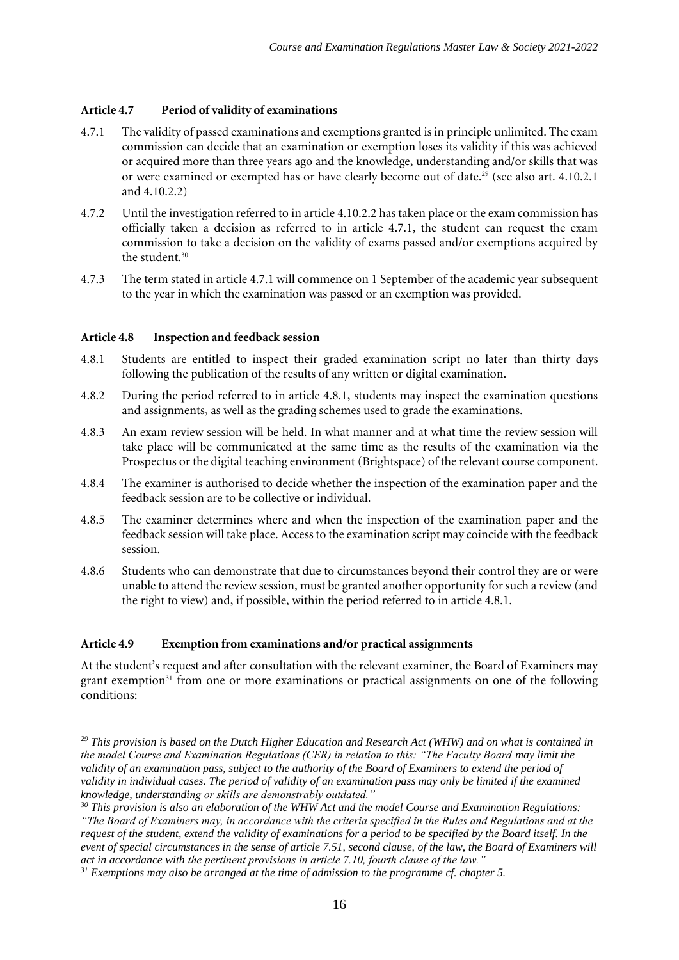# **Article 4.7 Period of validity of examinations**

- 4.7.1 The validity of passed examinations and exemptions granted is in principle unlimited. The exam commission can decide that an examination or exemption loses its validity if this was achieved or acquired more than three years ago and the knowledge, understanding and/or skills that was or were examined or exempted has or have clearly become out of date.<sup>29</sup> (see also art. 4.10.2.1 and 4.10.2.2)
- 4.7.2 Until the investigation referred to in article 4.10.2.2 has taken place or the exam commission has officially taken a decision as referred to in article 4.7.1, the student can request the exam commission to take a decision on the validity of exams passed and/or exemptions acquired by the student.<sup>30</sup>
- 4.7.3 The term stated in article 4.7.1 will commence on 1 September of the academic year subsequent to the year in which the examination was passed or an exemption was provided.

#### **Article 4.8 Inspection and feedback session**

- 4.8.1 Students are entitled to inspect their graded examination script no later than thirty days following the publication of the results of any written or digital examination.
- 4.8.2 During the period referred to in article 4.8.1, students may inspect the examination questions and assignments, as well as the grading schemes used to grade the examinations.
- 4.8.3 An exam review session will be held. In what manner and at what time the review session will take place will be communicated at the same time as the results of the examination via the Prospectus or the digital teaching environment (Brightspace) of the relevant course component.
- 4.8.4 The examiner is authorised to decide whether the inspection of the examination paper and the feedback session are to be collective or individual.
- 4.8.5 The examiner determines where and when the inspection of the examination paper and the feedback session will take place. Access to the examination script may coincide with the feedback session.
- 4.8.6 Students who can demonstrate that due to circumstances beyond their control they are or were unable to attend the review session, must be granted another opportunity for such a review (and the right to view) and, if possible, within the period referred to in article 4.8.1.

#### **Article 4.9 Exemption from examinations and/or practical assignments**

At the student's request and after consultation with the relevant examiner, the Board of Examiners may grant exemption<sup>31</sup> from one or more examinations or practical assignments on one of the following conditions:

*<sup>29</sup> This provision is based on the Dutch Higher Education and Research Act (WHW) and on what is contained in the model Course and Examination Regulations (CER) in relation to this: "The Faculty Board may limit the validity of an examination pass, subject to the authority of the Board of Examiners to extend the period of validity in individual cases. The period of validity of an examination pass may only be limited if the examined knowledge, understanding or skills are demonstrably outdated."*

*<sup>30</sup> This provision is also an elaboration of the WHW Act and the model Course and Examination Regulations: "The Board of Examiners may, in accordance with the criteria specified in the Rules and Regulations and at the request of the student, extend the validity of examinations for a period to be specified by the Board itself. In the event of special circumstances in the sense of article 7.51, second clause, of the law, the Board of Examiners will act in accordance with the pertinent provisions in article 7.10, fourth clause of the law."*

*<sup>31</sup> Exemptions may also be arranged at the time of admission to the programme cf. chapter 5.*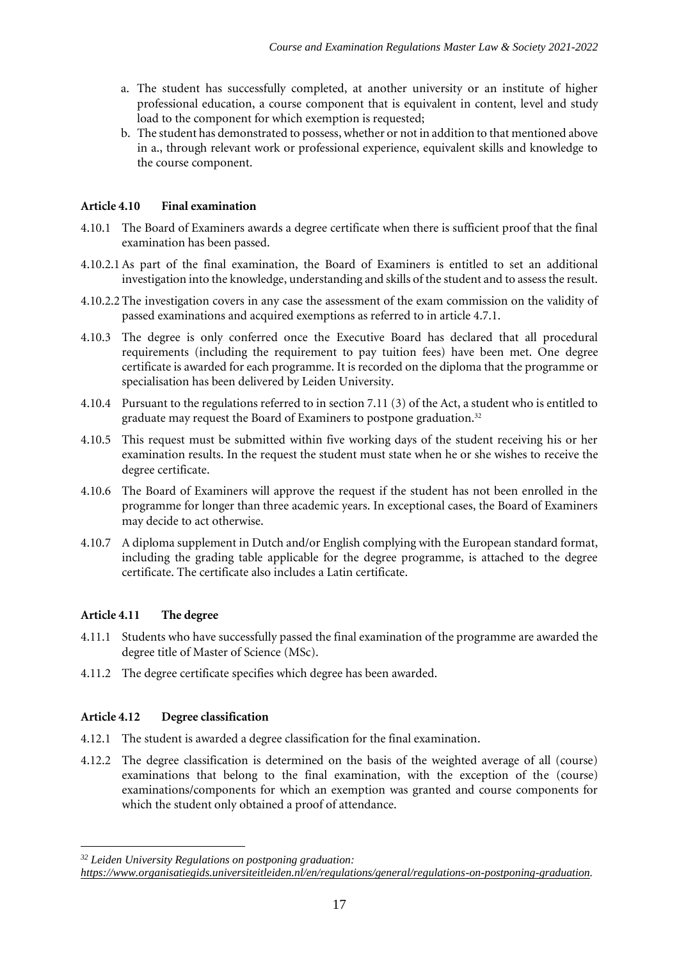- a. The student has successfully completed, at another university or an institute of higher professional education, a course component that is equivalent in content, level and study load to the component for which exemption is requested;
- b. The student has demonstrated to possess, whether or not in addition to that mentioned above in a., through relevant work or professional experience, equivalent skills and knowledge to the course component.

# **Article 4.10 Final examination**

- 4.10.1 The Board of Examiners awards a degree certificate when there is sufficient proof that the final examination has been passed.
- 4.10.2.1As part of the final examination, the Board of Examiners is entitled to set an additional investigation into the knowledge, understanding and skills of the student and to assess the result.
- 4.10.2.2 The investigation covers in any case the assessment of the exam commission on the validity of passed examinations and acquired exemptions as referred to in article 4.7.1.
- 4.10.3 The degree is only conferred once the Executive Board has declared that all procedural requirements (including the requirement to pay tuition fees) have been met. One degree certificate is awarded for each programme. It is recorded on the diploma that the programme or specialisation has been delivered by Leiden University.
- 4.10.4 Pursuant to the regulations referred to in section 7.11 (3) of the Act, a student who is entitled to graduate may request the Board of Examiners to postpone graduation.<sup>32</sup>
- 4.10.5 This request must be submitted within five working days of the student receiving his or her examination results. In the request the student must state when he or she wishes to receive the degree certificate.
- 4.10.6 The Board of Examiners will approve the request if the student has not been enrolled in the programme for longer than three academic years. In exceptional cases, the Board of Examiners may decide to act otherwise.
- 4.10.7 A diploma supplement in Dutch and/or English complying with the European standard format, including the grading table applicable for the degree programme, is attached to the degree certificate. The certificate also includes a Latin certificate.

# **Article 4.11 The degree**

- 4.11.1 Students who have successfully passed the final examination of the programme are awarded the degree title of Master of Science (MSc).
- 4.11.2 The degree certificate specifies which degree has been awarded.

# **Article 4.12 Degree classification**

- 4.12.1 The student is awarded a degree classification for the final examination.
- 4.12.2 The degree classification is determined on the basis of the weighted average of all (course) examinations that belong to the final examination, with the exception of the (course) examinations/components for which an exemption was granted and course components for which the student only obtained a proof of attendance.

*<sup>32</sup> Leiden University Regulations on postponing graduation:* 

*[https://www.organisatiegids.universiteitleiden.nl/en/regulations/general/regulations-on-postponing-graduation.](https://www.organisatiegids.universiteitleiden.nl/en/regulations/general/regulations-on-postponing-graduation)*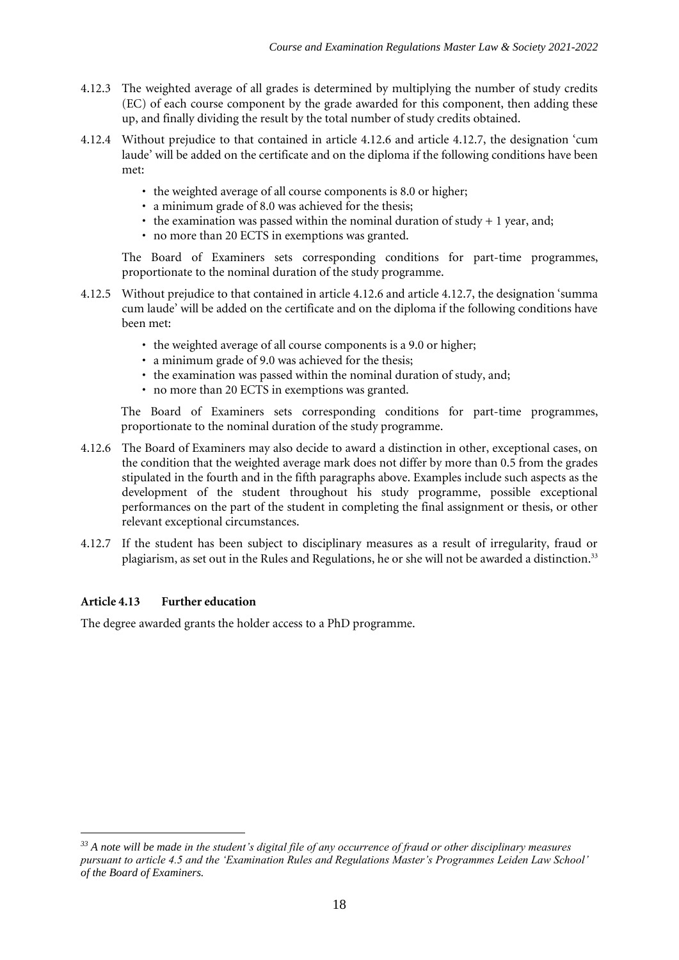- 4.12.3 The weighted average of all grades is determined by multiplying the number of study credits (EC) of each course component by the grade awarded for this component, then adding these up, and finally dividing the result by the total number of study credits obtained.
- 4.12.4 Without prejudice to that contained in article 4.12.6 and article 4.12.7, the designation 'cum laude' will be added on the certificate and on the diploma if the following conditions have been met:
	- the weighted average of all course components is 8.0 or higher;
	- a minimum grade of 8.0 was achieved for the thesis;
	- the examination was passed within the nominal duration of study  $+1$  year, and;
	- no more than 20 ECTS in exemptions was granted.

The Board of Examiners sets corresponding conditions for part-time programmes, proportionate to the nominal duration of the study programme.

- 4.12.5 Without prejudice to that contained in article 4.12.6 and article 4.12.7, the designation 'summa cum laude' will be added on the certificate and on the diploma if the following conditions have been met:
	- the weighted average of all course components is a 9.0 or higher;
	- a minimum grade of 9.0 was achieved for the thesis;
	- the examination was passed within the nominal duration of study, and;
	- no more than 20 ECTS in exemptions was granted.

The Board of Examiners sets corresponding conditions for part-time programmes, proportionate to the nominal duration of the study programme.

- 4.12.6 The Board of Examiners may also decide to award a distinction in other, exceptional cases, on the condition that the weighted average mark does not differ by more than 0.5 from the grades stipulated in the fourth and in the fifth paragraphs above. Examples include such aspects as the development of the student throughout his study programme, possible exceptional performances on the part of the student in completing the final assignment or thesis, or other relevant exceptional circumstances.
- 4.12.7 If the student has been subject to disciplinary measures as a result of irregularity, fraud or plagiarism, as set out in the Rules and Regulations, he or she will not be awarded a distinction.<sup>33</sup>

# **Article 4.13 Further education**

The degree awarded grants the holder access to a PhD programme.

*<sup>33</sup> A note will be made in the student's digital file of any occurrence of fraud or other disciplinary measures pursuant to article 4.5 and the 'Examination Rules and Regulations Master's Programmes Leiden Law School' of the Board of Examiners.*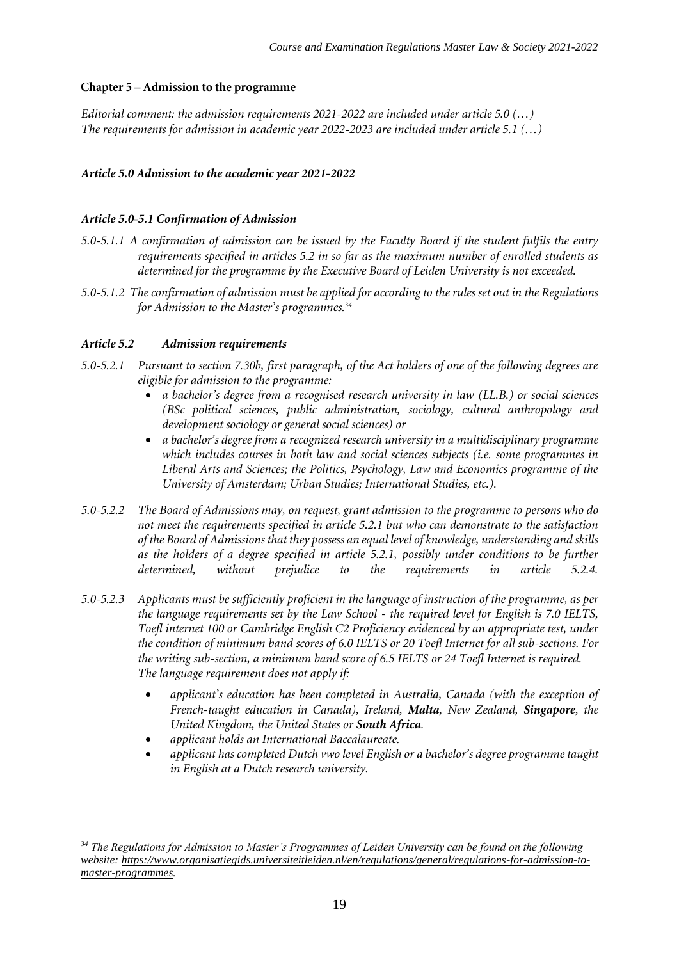#### **Chapter 5 – Admission to the programme**

*Editorial comment: the admission requirements 2021-2022 are included under article 5.0 (…) The requirements for admission in academic year 2022-2023 are included under article 5.1 (…)*

# *Article 5.0 Admission to the academic year 2021-2022*

#### *Article 5.0-5.1 Confirmation of Admission*

- *5.0-5.1.1 A confirmation of admission can be issued by the Faculty Board if the student fulfils the entry requirements specified in articles 5.2 in so far as the maximum number of enrolled students as determined for the programme by the Executive Board of Leiden University is not exceeded.*
- *5.0-5.1.2 The confirmation of admission must be applied for according to the rules set out in the Regulations for Admission to the Master's programmes.<sup>34</sup>*

#### *Article 5.2 Admission requirements*

- *5.0-5.2.1 Pursuant to section 7.30b, first paragraph, of the Act holders of one of the following degrees are eligible for admission to the programme:*
	- *a bachelor's degree from a recognised research university in law (LL.B.) or social sciences (BSc political sciences, public administration, sociology, cultural anthropology and development sociology or general social sciences) or*
	- *a bachelor's degree from a recognized research university in a multidisciplinary programme which includes courses in both law and social sciences subjects (i.e. some programmes in Liberal Arts and Sciences; the Politics, Psychology, Law and Economics programme of the University of Amsterdam; Urban Studies; International Studies, etc.).*
- *5.0-5.2.2 The Board of Admissions may, on request, grant admission to the programme to persons who do not meet the requirements specified in article 5.2.1 but who can demonstrate to the satisfaction of the Board of Admissions that they possess an equal level of knowledge, understanding and skills as the holders of a degree specified in article 5.2.1, possibly under conditions to be further determined, without prejudice to the requirements in article 5.2.4.*
- *5.0-5.2.3 Applicants must be sufficiently proficient in the language of instruction of the programme, as per the language requirements set by the Law School - the required level for English is 7.0 IELTS, Toefl internet 100 or Cambridge English C2 Proficiency evidenced by an appropriate test, under the condition of minimum band scores of 6.0 IELTS or 20 Toefl Internet for all sub-sections. For the writing sub-section, a minimum band score of 6.5 IELTS or 24 Toefl Internet is required. The language requirement does not apply if:*
	- *applicant's education has been completed in Australia, Canada (with the exception of French-taught education in Canada), Ireland, Malta, New Zealand, Singapore, the United Kingdom, the United States or South Africa.*
	- *applicant holds an International Baccalaureate.*
	- *applicant has completed Dutch vwo level English or a bachelor's degree programme taught in English at a Dutch research university.*

*<sup>34</sup> The Regulations for Admission to Master's Programmes of Leiden University can be found on the following website[: https://www.organisatiegids.universiteitleiden.nl/en/regulations/general/regulations-for-admission-to](https://www.organisatiegids.universiteitleiden.nl/en/regulations/general/regulations-for-admission-to-master-programmes)[master-programmes.](https://www.organisatiegids.universiteitleiden.nl/en/regulations/general/regulations-for-admission-to-master-programmes)*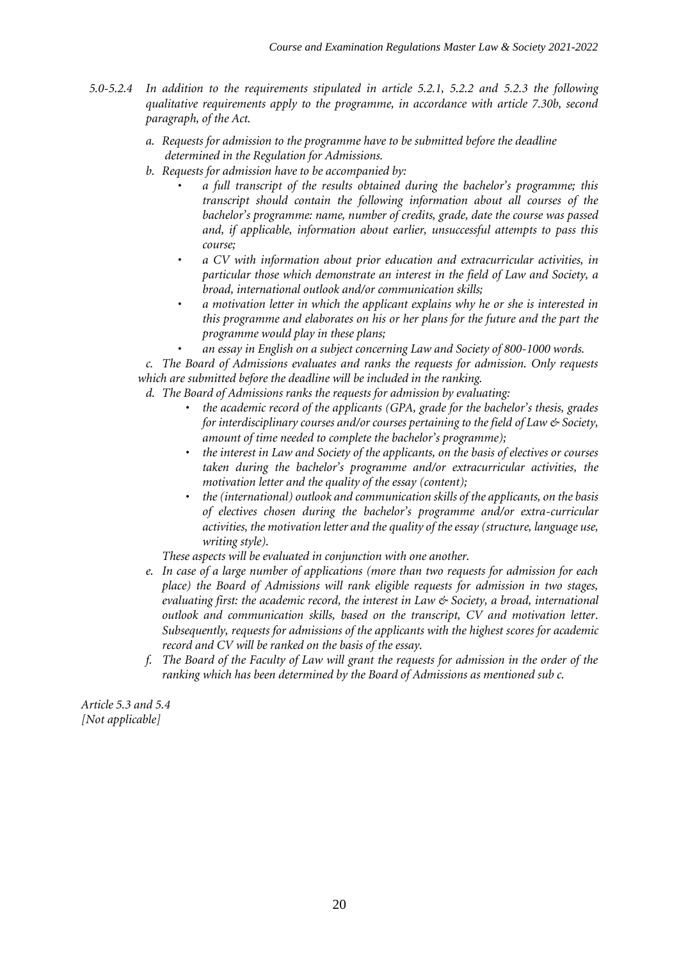- *5.0-5.2.4 In addition to the requirements stipulated in article 5.2.1, 5.2.2 and 5.2.3 the following qualitative requirements apply to the programme, in accordance with article 7.30b, second paragraph, of the Act.*
	- *a. Requests for admission to the programme have to be submitted before the deadline determined in the Regulation for Admissions.*
	- *b. Requests for admission have to be accompanied by:*
		- *a full transcript of the results obtained during the bachelor's programme; this transcript should contain the following information about all courses of the bachelor's programme: name, number of credits, grade, date the course was passed and, if applicable, information about earlier, unsuccessful attempts to pass this course;*
		- *a CV with information about prior education and extracurricular activities, in particular those which demonstrate an interest in the field of Law and Society, a broad, international outlook and/or communication skills;*
		- *a motivation letter in which the applicant explains why he or she is interested in this programme and elaborates on his or her plans for the future and the part the programme would play in these plans;*
		- *an essay in English on a subject concerning Law and Society of 800-1000 words.*

*c. The Board of Admissions evaluates and ranks the requests for admission. Only requests which are submitted before the deadline will be included in the ranking.*

- *d. The Board of Admissions ranks the requests for admission by evaluating:*
	- *the academic record of the applicants (GPA, grade for the bachelor's thesis, grades for interdisciplinary courses and/or courses pertaining to the field of Law & Society, amount of time needed to complete the bachelor's programme);*
	- *the interest in Law and Society of the applicants, on the basis of electives or courses taken during the bachelor's programme and/or extracurricular activities, the motivation letter and the quality of the essay (content);*
	- *the (international) outlook and communication skills of the applicants, on the basis of electives chosen during the bachelor's programme and/or extra-curricular activities, the motivation letter and the quality of the essay (structure, language use, writing style).*

*These aspects will be evaluated in conjunction with one another.*

- *e. In case of a large number of applications (more than two requests for admission for each place) the Board of Admissions will rank eligible requests for admission in two stages, evaluating first: the academic record, the interest in Law & Society, a broad, international outlook and communication skills, based on the transcript, CV and motivation letter. Subsequently, requests for admissions of the applicants with the highest scores for academic record and CV will be ranked on the basis of the essay.*
- *f. The Board of the Faculty of Law will grant the requests for admission in the order of the ranking which has been determined by the Board of Admissions as mentioned sub c.*

*Article 5.3 and 5.4 [Not applicable]*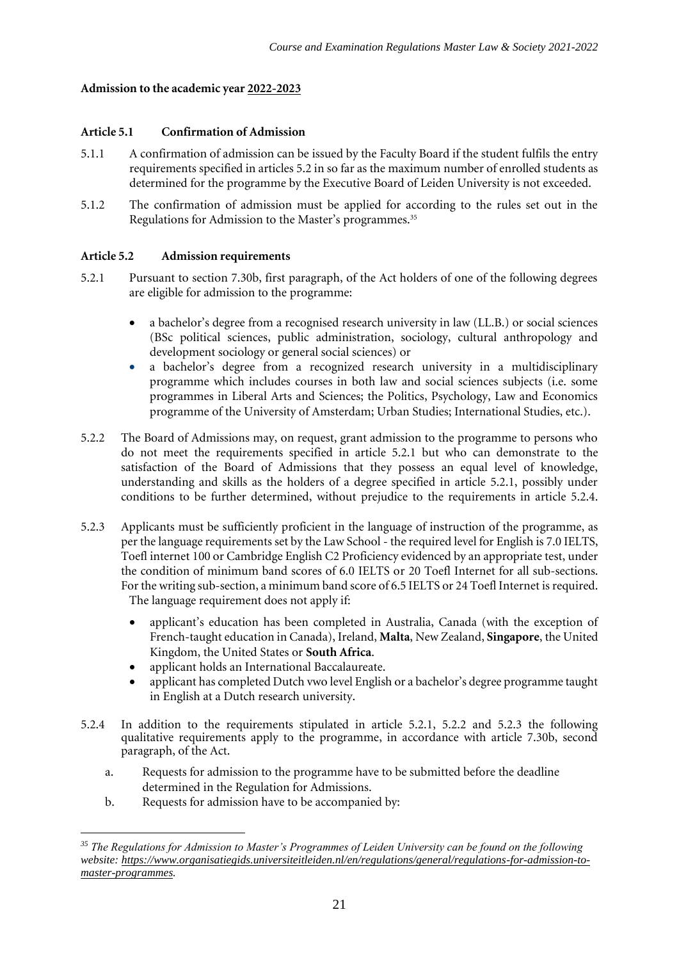#### **Admission to the academic year 2022-2023**

#### **Article 5.1 Confirmation of Admission**

- 5.1.1 A confirmation of admission can be issued by the Faculty Board if the student fulfils the entry requirements specified in articles 5.2 in so far as the maximum number of enrolled students as determined for the programme by the Executive Board of Leiden University is not exceeded.
- 5.1.2 The confirmation of admission must be applied for according to the rules set out in the Regulations for Admission to the Master's programmes.<sup>35</sup>

# **Article 5.2 Admission requirements**

- 5.2.1 Pursuant to section 7.30b, first paragraph, of the Act holders of one of the following degrees are eligible for admission to the programme:
	- a bachelor's degree from a recognised research university in law (LL.B.) or social sciences (BSc political sciences, public administration, sociology, cultural anthropology and development sociology or general social sciences) or
	- a bachelor's degree from a recognized research university in a multidisciplinary programme which includes courses in both law and social sciences subjects (i.e. some programmes in Liberal Arts and Sciences; the Politics, Psychology, Law and Economics programme of the University of Amsterdam; Urban Studies; International Studies, etc.).
- 5.2.2 The Board of Admissions may, on request, grant admission to the programme to persons who do not meet the requirements specified in article 5.2.1 but who can demonstrate to the satisfaction of the Board of Admissions that they possess an equal level of knowledge, understanding and skills as the holders of a degree specified in article 5.2.1, possibly under conditions to be further determined, without prejudice to the requirements in article 5.2.4.
- 5.2.3 Applicants must be sufficiently proficient in the language of instruction of the programme, as per the language requirements set by the Law School - the required level for English is 7.0 IELTS, Toefl internet 100 or Cambridge English C2 Proficiency evidenced by an appropriate test, under the condition of minimum band scores of 6.0 IELTS or 20 Toefl Internet for all sub-sections. For the writing sub-section, a minimum band score of 6.5 IELTS or 24 Toefl Internet is required. The language requirement does not apply if:
	- applicant's education has been completed in Australia, Canada (with the exception of French-taught education in Canada), Ireland, **Malta**, New Zealand, **Singapore**, the United Kingdom, the United States or **South Africa**.
	- applicant holds an International Baccalaureate.
	- applicant has completed Dutch vwo level English or a bachelor's degree programme taught in English at a Dutch research university.
- 5.2.4 In addition to the requirements stipulated in article 5.2.1, 5.2.2 and 5.2.3 the following qualitative requirements apply to the programme, in accordance with article 7.30b, second paragraph, of the Act.
	- a. Requests for admission to the programme have to be submitted before the deadline determined in the Regulation for Admissions.
	- b. Requests for admission have to be accompanied by:

*<sup>35</sup> The Regulations for Admission to Master's Programmes of Leiden University can be found on the following website[: https://www.organisatiegids.universiteitleiden.nl/en/regulations/general/regulations-for-admission-to](https://www.organisatiegids.universiteitleiden.nl/en/regulations/general/regulations-for-admission-to-master-programmes)[master-programmes.](https://www.organisatiegids.universiteitleiden.nl/en/regulations/general/regulations-for-admission-to-master-programmes)*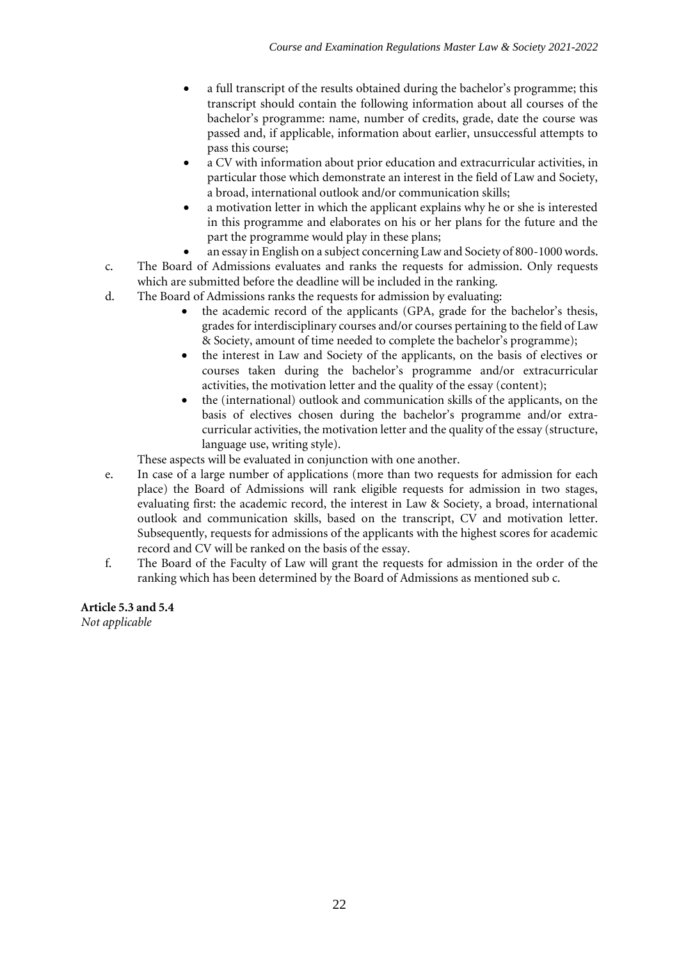- a full transcript of the results obtained during the bachelor's programme; this transcript should contain the following information about all courses of the bachelor's programme: name, number of credits, grade, date the course was passed and, if applicable, information about earlier, unsuccessful attempts to pass this course;
- a CV with information about prior education and extracurricular activities, in particular those which demonstrate an interest in the field of Law and Society, a broad, international outlook and/or communication skills;
- a motivation letter in which the applicant explains why he or she is interested in this programme and elaborates on his or her plans for the future and the part the programme would play in these plans;
- an essay in English on a subject concerning Law and Society of 800-1000 words.
- c. The Board of Admissions evaluates and ranks the requests for admission. Only requests which are submitted before the deadline will be included in the ranking.
- d. The Board of Admissions ranks the requests for admission by evaluating:
	- the academic record of the applicants (GPA, grade for the bachelor's thesis, grades for interdisciplinary courses and/or courses pertaining to the field of Law & Society, amount of time needed to complete the bachelor's programme);
	- the interest in Law and Society of the applicants, on the basis of electives or courses taken during the bachelor's programme and/or extracurricular activities, the motivation letter and the quality of the essay (content);
	- the (international) outlook and communication skills of the applicants, on the basis of electives chosen during the bachelor's programme and/or extracurricular activities, the motivation letter and the quality of the essay (structure, language use, writing style).

These aspects will be evaluated in conjunction with one another.

- e. In case of a large number of applications (more than two requests for admission for each place) the Board of Admissions will rank eligible requests for admission in two stages, evaluating first: the academic record, the interest in Law & Society, a broad, international outlook and communication skills, based on the transcript, CV and motivation letter. Subsequently, requests for admissions of the applicants with the highest scores for academic record and CV will be ranked on the basis of the essay.
- f. The Board of the Faculty of Law will grant the requests for admission in the order of the ranking which has been determined by the Board of Admissions as mentioned sub c.

# **Article 5.3 and 5.4**

*Not applicable*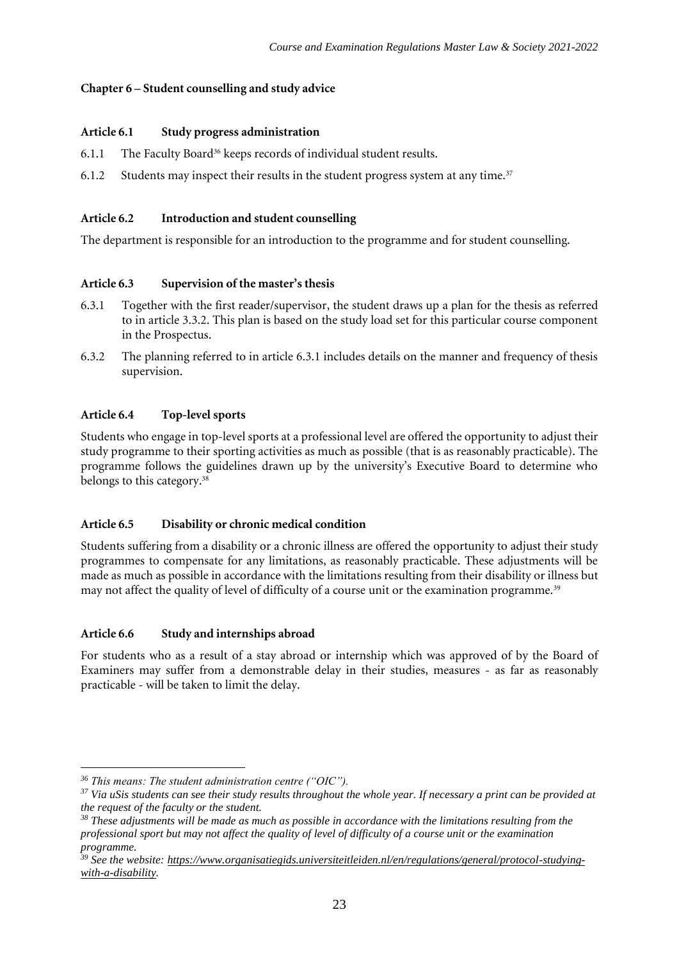# **Chapter 6 – Student counselling and study advice**

#### **Article 6.1 Study progress administration**

- 6.1.1 The Faculty Board<sup>36</sup> keeps records of individual student results.
- 6.1.2 Students may inspect their results in the student progress system at any time.<sup>37</sup>

# **Article 6.2 Introduction and student counselling**

The department is responsible for an introduction to the programme and for student counselling.

# **Article 6.3 Supervision of the master's thesis**

- 6.3.1 Together with the first reader/supervisor, the student draws up a plan for the thesis as referred to in article 3.3.2. This plan is based on the study load set for this particular course component in the Prospectus.
- 6.3.2 The planning referred to in article 6.3.1 includes details on the manner and frequency of thesis supervision.

# **Article 6.4 Top-level sports**

Students who engage in top-level sports at a professional level are offered the opportunity to adjust their study programme to their sporting activities as much as possible (that is as reasonably practicable). The programme follows the guidelines drawn up by the university's Executive Board to determine who belongs to this category.<sup>38</sup>

# **Article 6.5 Disability or chronic medical condition**

Students suffering from a disability or a chronic illness are offered the opportunity to adjust their study programmes to compensate for any limitations, as reasonably practicable. These adjustments will be made as much as possible in accordance with the limitations resulting from their disability or illness but may not affect the quality of level of difficulty of a course unit or the examination programme.<sup>39</sup>

#### **Article 6.6 Study and internships abroad**

For students who as a result of a stay abroad or internship which was approved of by the Board of Examiners may suffer from a demonstrable delay in their studies, measures - as far as reasonably practicable - will be taken to limit the delay.

*<sup>36</sup> This means: The student administration centre ("OIC").*

*<sup>37</sup> Via uSis students can see their study results throughout the whole year. If necessary a print can be provided at the request of the faculty or the student.*

*<sup>38</sup> These adjustments will be made as much as possible in accordance with the limitations resulting from the professional sport but may not affect the quality of level of difficulty of a course unit or the examination programme.*

*<sup>39</sup> See the website: [https://www.organisatiegids.universiteitleiden.nl/en/regulations/general/protocol-studying](https://www.organisatiegids.universiteitleiden.nl/en/regulations/general/protocol-studying-with-a-disability)[with-a-disability.](https://www.organisatiegids.universiteitleiden.nl/en/regulations/general/protocol-studying-with-a-disability)*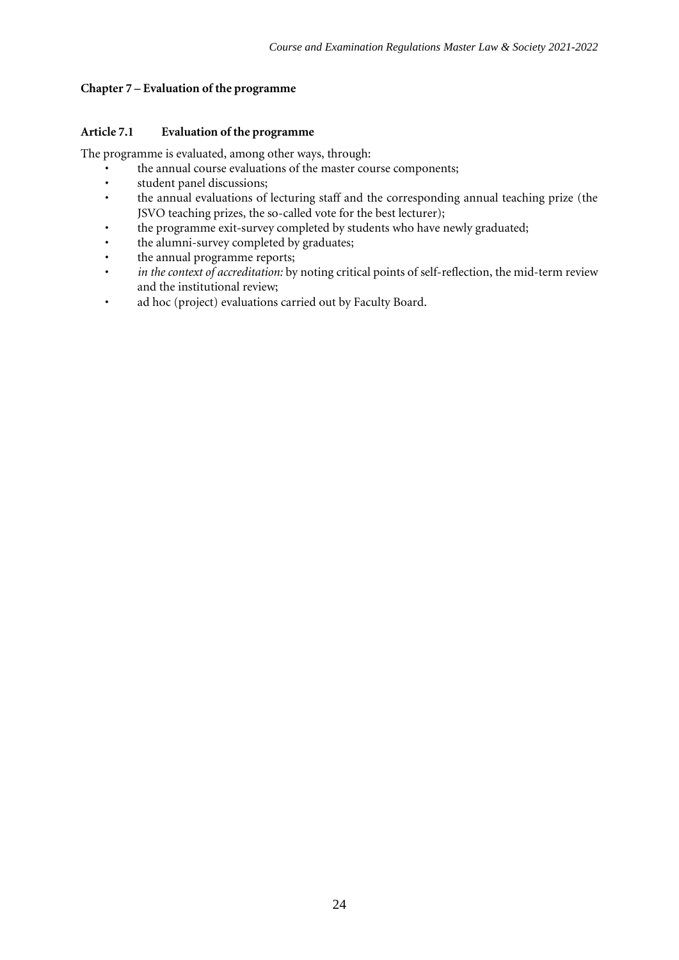# **Chapter 7 – Evaluation of the programme**

# **Article 7.1 Evaluation of the programme**

The programme is evaluated, among other ways, through:

- the annual course evaluations of the master course components;<br>• student panel discussions:
- student panel discussions;<br>• the annual evaluations of
- the annual evaluations of lecturing staff and the corresponding annual teaching prize (the JSVO teaching prizes, the so-called vote for the best lecturer);
- the programme exit-survey completed by students who have newly graduated;
- the alumni-survey completed by graduates;
- the annual programme reports;
- *in the context of accreditation:* by noting critical points of self-reflection, the mid-term review and the institutional review;
- ad hoc (project) evaluations carried out by Faculty Board.